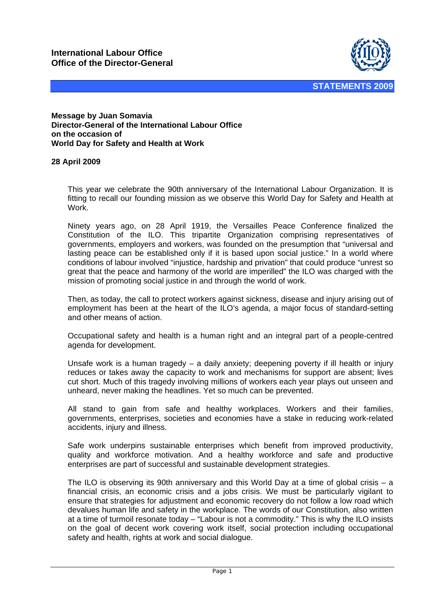

## **Message by Juan Somavia Director-General of the International Labour Office on the occasion of World Day for Safety and Health at Work**

## **28 April 2009**

This year we celebrate the 90th anniversary of the International Labour Organization. It is fitting to recall our founding mission as we observe this World Day for Safety and Health at Work.

Ninety years ago, on 28 April 1919, the Versailles Peace Conference finalized the Constitution of the ILO. This tripartite Organization comprising representatives of governments, employers and workers, was founded on the presumption that "universal and lasting peace can be established only if it is based upon social justice." In a world where conditions of labour involved "injustice, hardship and privation" that could produce "unrest so great that the peace and harmony of the world are imperilled" the ILO was charged with the mission of promoting social justice in and through the world of work.

Then, as today, the call to protect workers against sickness, disease and injury arising out of employment has been at the heart of the ILO's agenda, a major focus of standard-setting and other means of action.

Occupational safety and health is a human right and an integral part of a people-centred agenda for development.

Unsafe work is a human tragedy – a daily anxiety; deepening poverty if ill health or injury reduces or takes away the capacity to work and mechanisms for support are absent; lives cut short. Much of this tragedy involving millions of workers each year plays out unseen and unheard, never making the headlines. Yet so much can be prevented.

All stand to gain from safe and healthy workplaces. Workers and their families, governments, enterprises, societies and economies have a stake in reducing work-related accidents, injury and illness.

Safe work underpins sustainable enterprises which benefit from improved productivity, quality and workforce motivation. And a healthy workforce and safe and productive enterprises are part of successful and sustainable development strategies.

The ILO is observing its 90th anniversary and this World Day at a time of global crisis  $-$  a financial crisis, an economic crisis and a jobs crisis. We must be particularly vigilant to ensure that strategies for adjustment and economic recovery do not follow a low road which devalues human life and safety in the workplace. The words of our Constitution, also written at a time of turmoil resonate today – "Labour is not a commodity." This is why the ILO insists on the goal of decent work covering work itself, social protection including occupational safety and health, rights at work and social dialogue.